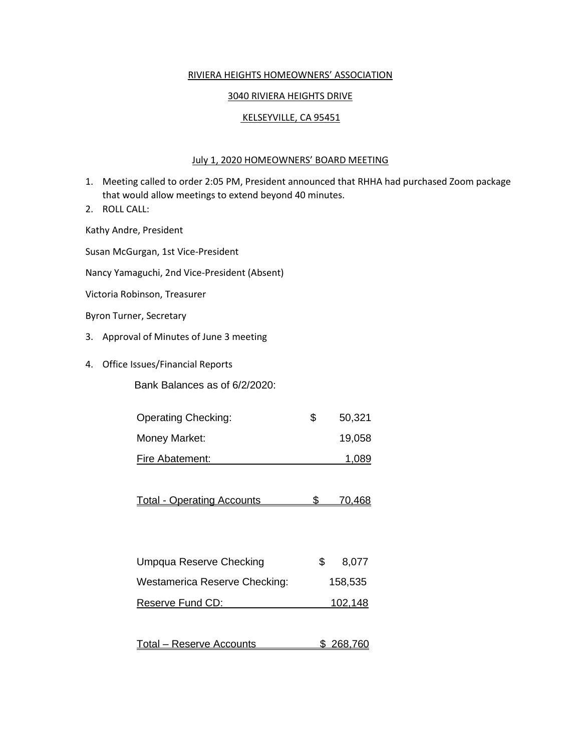## RIVIERA HEIGHTS HOMEOWNERS' ASSOCIATION

## 3040 RIVIERA HEIGHTS DRIVE

## KELSEYVILLE, CA 95451

### July 1, 2020 HOMEOWNERS' BOARD MEETING

- 1. Meeting called to order 2:05 PM, President announced that RHHA had purchased Zoom package that would allow meetings to extend beyond 40 minutes.
- 2. ROLL CALL:

Kathy Andre, President

Susan McGurgan, 1st Vice-President

Nancy Yamaguchi, 2nd Vice-President (Absent)

Victoria Robinson, Treasurer

Byron Turner, Secretary

- 3. Approval of Minutes of June 3 meeting
- 4. Office Issues/Financial Reports

Bank Balances as of 6/2/2020:

| <b>Operating Checking:</b> | S | 50,321 |
|----------------------------|---|--------|
| Money Market:              |   | 19,058 |
| Fire Abatement:            |   | 1,089  |

Total - Operating Accounts **\$ 70,468** 

| Umpqua Reserve Checking       | 8,077   |
|-------------------------------|---------|
| Westamerica Reserve Checking: | 158,535 |
| Reserve Fund CD:              | 102,148 |
|                               |         |

| Total – Reserve Accounts |  | \$ 268,760 |
|--------------------------|--|------------|
|--------------------------|--|------------|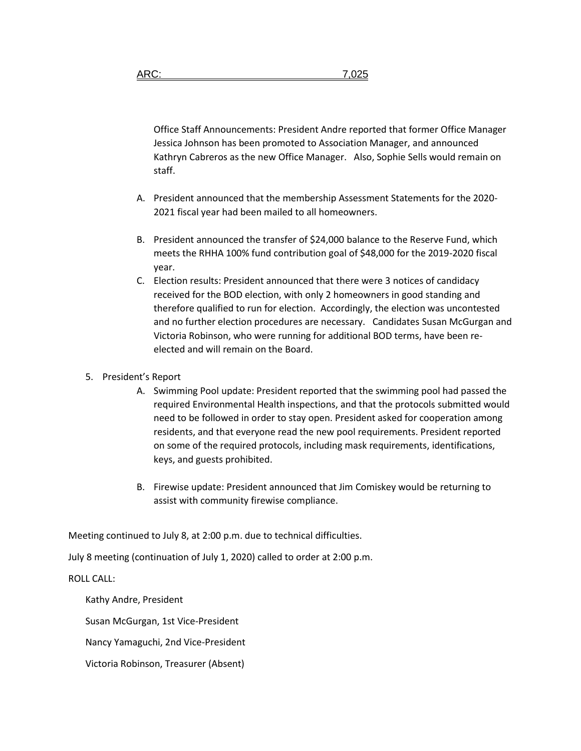Office Staff Announcements: President Andre reported that former Office Manager Jessica Johnson has been promoted to Association Manager, and announced Kathryn Cabreros as the new Office Manager. Also, Sophie Sells would remain on staff.

- A. President announced that the membership Assessment Statements for the 2020- 2021 fiscal year had been mailed to all homeowners.
- B. President announced the transfer of \$24,000 balance to the Reserve Fund, which meets the RHHA 100% fund contribution goal of \$48,000 for the 2019-2020 fiscal year.
- C. Election results: President announced that there were 3 notices of candidacy received for the BOD election, with only 2 homeowners in good standing and therefore qualified to run for election. Accordingly, the election was uncontested and no further election procedures are necessary. Candidates Susan McGurgan and Victoria Robinson, who were running for additional BOD terms, have been reelected and will remain on the Board.

### 5. President's Report

- A. Swimming Pool update: President reported that the swimming pool had passed the required Environmental Health inspections, and that the protocols submitted would need to be followed in order to stay open. President asked for cooperation among residents, and that everyone read the new pool requirements. President reported on some of the required protocols, including mask requirements, identifications, keys, and guests prohibited.
- B. Firewise update: President announced that Jim Comiskey would be returning to assist with community firewise compliance.

Meeting continued to July 8, at 2:00 p.m. due to technical difficulties.

July 8 meeting (continuation of July 1, 2020) called to order at 2:00 p.m.

#### ROLL CALL:

Kathy Andre, President

Susan McGurgan, 1st Vice-President

Nancy Yamaguchi, 2nd Vice-President

Victoria Robinson, Treasurer (Absent)